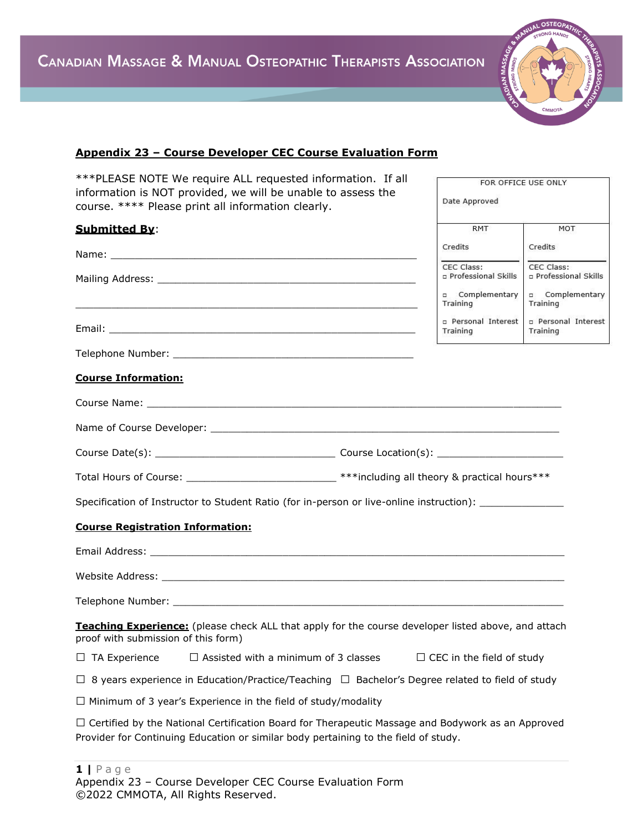

FOR OFFICE USE ONLY

Date Approved

## **Appendix 23 – Course Developer CEC Course Evaluation Form**

\*\*\*PLEASE NOTE We require ALL requested information. If all information is NOT provided, we will be unable to assess the course. \*\*\*\* Please print all information clearly.

| <b>Submitted By:</b>                                                                                                                                                                            | <b>RMT</b>                          | MOT                                 |
|-------------------------------------------------------------------------------------------------------------------------------------------------------------------------------------------------|-------------------------------------|-------------------------------------|
|                                                                                                                                                                                                 | Credits                             | Credits                             |
|                                                                                                                                                                                                 | CEC Class:<br>p Professional Skills | CEC Class:<br>p Professional Skills |
|                                                                                                                                                                                                 | n Complementary<br>Training         | complementary<br>Training           |
|                                                                                                                                                                                                 | p Personal Interest<br>Training     | p Personal Interest<br>Training     |
|                                                                                                                                                                                                 |                                     |                                     |
| <b>Course Information:</b>                                                                                                                                                                      |                                     |                                     |
|                                                                                                                                                                                                 |                                     |                                     |
|                                                                                                                                                                                                 |                                     |                                     |
|                                                                                                                                                                                                 |                                     |                                     |
| Total Hours of Course: ________________________________***including all theory & practical hours***                                                                                             |                                     |                                     |
| Specification of Instructor to Student Ratio (for in-person or live-online instruction): ___________                                                                                            |                                     |                                     |
| <b>Course Registration Information:</b>                                                                                                                                                         |                                     |                                     |
|                                                                                                                                                                                                 |                                     |                                     |
|                                                                                                                                                                                                 |                                     |                                     |
|                                                                                                                                                                                                 |                                     |                                     |
| Teaching Experience: (please check ALL that apply for the course developer listed above, and attach<br>proof with submission of this form)                                                      |                                     |                                     |
| $\Box$ Assisted with a minimum of 3 classes $\Box$ CEC in the field of study<br>$\Box$ TA Experience                                                                                            |                                     |                                     |
| $\Box$ 8 years experience in Education/Practice/Teaching $\Box$ Bachelor's Degree related to field of study                                                                                     |                                     |                                     |
| $\Box$ Minimum of 3 year's Experience in the field of study/modality                                                                                                                            |                                     |                                     |
| $\Box$ Certified by the National Certification Board for Therapeutic Massage and Bodywork as an Approved<br>Provider for Continuing Education or similar body pertaining to the field of study. |                                     |                                     |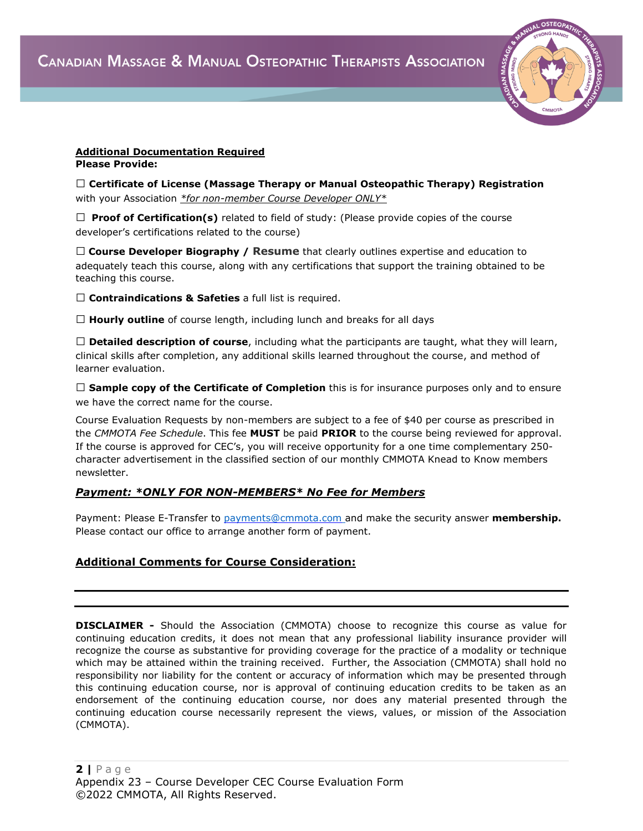

#### **Additional Documentation Required Please Provide:**

□ **Certificate of License (Massage Therapy or Manual Osteopathic Therapy) Registration** with your Association *\*for non-member Course Developer ONLY\**

 $\Box$  **Proof of Certification(s)** related to field of study: (Please provide copies of the course developer's certifications related to the course)

□ **Course Developer Biography / Resume** that clearly outlines expertise and education to adequately teach this course, along with any certifications that support the training obtained to be teaching this course.

□ **Contraindications & Safeties** a full list is required.

□ **Hourly outline** of course length, including lunch and breaks for all days

□ **Detailed description of course**, including what the participants are taught, what they will learn, clinical skills after completion, any additional skills learned throughout the course, and method of learner evaluation.

□ **Sample copy of the Certificate of Completion** this is for insurance purposes only and to ensure we have the correct name for the course.

Course Evaluation Requests by non-members are subject to a fee of \$40 per course as prescribed in the *CMMOTA Fee Schedule*. This fee **MUST** be paid **PRIOR** to the course being reviewed for approval. If the course is approved for CEC's, you will receive opportunity for a one time complementary 250 character advertisement in the classified section of our monthly CMMOTA Knead to Know members newsletter.

#### *Payment: \*ONLY FOR NON-MEMBERS\* No Fee for Members*

Payment: Please E-Transfer to [payments@cmmota.com](about:blank) and make the security answer **membership.**  Please contact our office to arrange another form of payment.

## **Additional Comments for Course Consideration:**

**DISCLAIMER -** Should the Association (CMMOTA) choose to recognize this course as value for continuing education credits, it does not mean that any professional liability insurance provider will recognize the course as substantive for providing coverage for the practice of a modality or technique which may be attained within the training received. Further, the Association (CMMOTA) shall hold no responsibility nor liability for the content or accuracy of information which may be presented through this continuing education course, nor is approval of continuing education credits to be taken as an endorsement of the continuing education course, nor does any material presented through the continuing education course necessarily represent the views, values, or mission of the Association (CMMOTA).